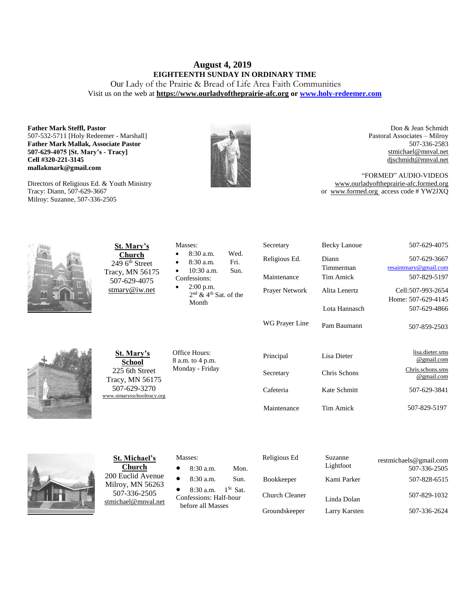# **August 4, 2019 EIGHTEENTH SUNDAY IN ORDINARY TIME**

Our Lady of the Prairie & Bread of Life Area Faith Communities Visit us on the web at **https:/[/www.ourladyoftheprairie-afc.org](http://www.ourladyoftheprairie-afc.org/) o[r www.holy-redeemer.com](http://www.holy-redeemer.com/)**

**Father Mark Steffl, Pastor** 507-532-5711 [Holy Redeemer - Marshall] **Father Mark Mallak, Associate Pastor 507-629-4075 [St. Mary's - Tracy] Cell #320-221-3145 mallakmark@gmail.com**

Directors of Religious Ed. & Youth Ministry Tracy: Diann, 507-629-3667 Milroy: Suzanne, 507-336-2505



Don & Jean Schmidt Pastoral Associates – Milroy 507-336-2583 [stmichael@mnval.net](mailto:stmichael@means.net) [djschmidt@mnval.net](mailto:djschmidt@mnval.net)

"FORMED" AUDIO-VIDEOS [www.ourladyoftheprairie-afc.formed.org](http://www.ourladyoftheprairie-afc.formed.org/) or www.formed.org access code # YW2JXQ



**St. Mary's Church** 249 6<sup>th</sup> Street Tracy, MN 56175 507-629-4075 [stmary@iw.net](mailto:stmary@iw.net)

| St. Mary's      |
|-----------------|
| <b>School</b>   |
| 225 6th Street  |
| Tracy, MN 56175 |

507-629-3270 [www.stmarysschooltracy.org](http://www.stmarysschooltracy.org/) Office Hours: 8 a.m. to 4 p.m. Monday - Friday

Masses:

Confessions: 2:00 p.m.

Month

 8:30 a.m. Wed. 8:30 a.m. Fri. 10:30 a.m. Sun.

2<sup>nd</sup> & 4<sup>th</sup> Sat. of the

| Religious Ed.         | Diann         | 507-629-3667                   |
|-----------------------|---------------|--------------------------------|
|                       | Timmerman     | resaintmary@gmail.com          |
| Maintenance           | Tim Amick     | 507-829-5197                   |
| <b>Prayer Network</b> | Alita Lenertz | Cell:507-993-2654              |
|                       |               | Home: 507-629-4145             |
|                       | Lota Hannasch | 507-629-4866                   |
| WG Prayer Line        | Pam Baumann   | 507-859-2503                   |
| Principal             | Lisa Dieter   | lisa.dieter.sms<br>@gmail.com  |
| Secretary             | Chris Schons  | Chris.schons.sms<br>@gmail.com |
| Cafeteria             | Kate Schmitt  | 507-629-3841                   |
| Maintenance           | Tim Amick     | 507-829-5197                   |

Secretary Becky Lanoue 507-629-4075



**St. Michael's Church** 200 Euclid Avenue Milroy, MN 56263 507-336-2505 [stmichael@mnval.net](mailto:stmichael@mnval.net)

#### Masses:

- 8:30 a.m. Mon.
- 8:30 a.m. Sun.

• 8:30 a.m.  $1^{St}$  Sat. Confessions: Half-hour

before all Masses

| Religious Ed      | Suzanne<br>Lightfoot | restmichaels@gmail.com<br>507-336-2505 |
|-------------------|----------------------|----------------------------------------|
| <b>Bookkeeper</b> | Kami Parker          | 507-828-6515                           |
| Church Cleaner    | Linda Dolan          | 507-829-1032                           |
| Groundskeeper     | Larry Karsten        | 507-336-2624                           |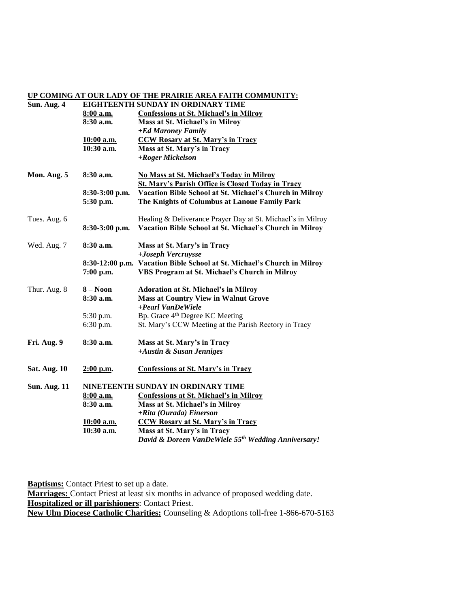#### **UP COMING AT OUR LADY OF THE PRAIRIE AREA FAITH COMMUNITY:**

| Sun. Aug. 4         |                | EIGHTEENTH SUNDAY IN ORDINARY TIME                                      |  |  |
|---------------------|----------------|-------------------------------------------------------------------------|--|--|
|                     | 8:00 a.m.      | <b>Confessions at St. Michael's in Milroy</b>                           |  |  |
|                     | $8:30$ a.m.    | Mass at St. Michael's in Milroy                                         |  |  |
|                     |                | +Ed Maroney Family                                                      |  |  |
|                     | 10:00 a.m.     | <b>CCW Rosary at St. Mary's in Tracy</b>                                |  |  |
|                     | $10:30$ a.m.   | Mass at St. Mary's in Tracy                                             |  |  |
|                     |                | +Roger Mickelson                                                        |  |  |
| Mon. Aug. 5         | 8:30a.m.       | No Mass at St. Michael's Today in Milroy                                |  |  |
|                     |                | <b>St. Mary's Parish Office is Closed Today in Tracy</b>                |  |  |
|                     | 8:30-3:00 p.m. | Vacation Bible School at St. Michael's Church in Milroy                 |  |  |
|                     | 5:30 p.m.      | The Knights of Columbus at Lanoue Family Park                           |  |  |
| Tues. Aug. 6        |                | Healing & Deliverance Prayer Day at St. Michael's in Milroy             |  |  |
|                     | 8:30-3:00 p.m. | Vacation Bible School at St. Michael's Church in Milroy                 |  |  |
| Wed. Aug. 7         | 8:30 a.m.      | Mass at St. Mary's in Tracy                                             |  |  |
|                     |                | +Joseph Vercruysse                                                      |  |  |
|                     |                | 8:30-12:00 p.m. Vacation Bible School at St. Michael's Church in Milroy |  |  |
|                     | 7:00 p.m.      | VBS Program at St. Michael's Church in Milroy                           |  |  |
| Thur. Aug. 8        | $8 - N00n$     | <b>Adoration at St. Michael's in Milroy</b>                             |  |  |
|                     | 8:30 a.m.      | <b>Mass at Country View in Walnut Grove</b>                             |  |  |
|                     |                | +Pearl VanDeWiele                                                       |  |  |
|                     | 5:30 p.m.      | Bp. Grace 4 <sup>th</sup> Degree KC Meeting                             |  |  |
|                     | 6:30 p.m.      | St. Mary's CCW Meeting at the Parish Rectory in Tracy                   |  |  |
| Fri. Aug. 9         | 8:30 a.m.      | Mass at St. Mary's in Tracy                                             |  |  |
|                     |                | +Austin & Susan Jenniges                                                |  |  |
| <b>Sat. Aug. 10</b> | $2:00$ p.m.    | <b>Confessions at St. Mary's in Tracy</b>                               |  |  |
| <b>Sun. Aug. 11</b> |                | NINETEENTH SUNDAY IN ORDINARY TIME                                      |  |  |
|                     | $8:00$ a.m.    | <b>Confessions at St. Michael's in Milroy</b>                           |  |  |
|                     | 8:30 a.m.      | Mass at St. Michael's in Milroy                                         |  |  |
|                     |                | +Rita (Ourada) Einerson                                                 |  |  |
|                     | 10:00 a.m.     | <b>CCW Rosary at St. Mary's in Tracy</b>                                |  |  |
|                     | $10:30$ a.m.   | Mass at St. Mary's in Tracy                                             |  |  |
|                     |                | David & Doreen VanDeWiele 55th Wedding Anniversary!                     |  |  |

**Baptisms:** Contact Priest to set up a date. **Marriages:** Contact Priest at least six months in advance of proposed wedding date. **Hospitalized or ill parishioners**: Contact Priest. **New Ulm Diocese Catholic Charities:** Counseling & Adoptions toll-free 1-866-670-5163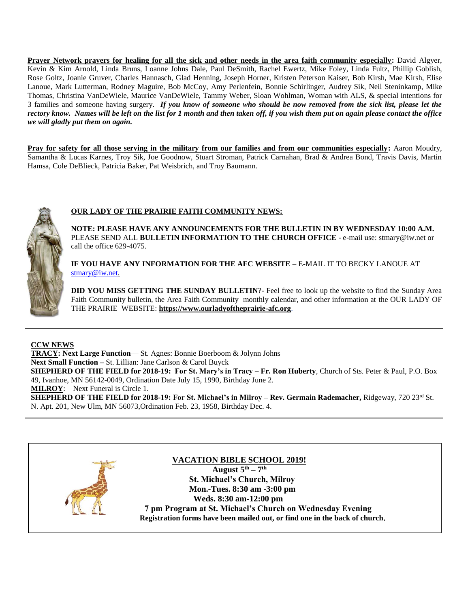**Prayer Network prayers for healing for all the sick and other needs in the area faith community especially:** David Algyer, Kevin & Kim Arnold, Linda Bruns, Loanne Johns Dale, Paul DeSmith, Rachel Ewertz, Mike Foley, Linda Fultz, Phillip Goblish, Rose Goltz, Joanie Gruver, Charles Hannasch, Glad Henning, Joseph Horner, Kristen Peterson Kaiser, Bob Kirsh, Mae Kirsh, Elise Lanoue, Mark Lutterman, Rodney Maguire, Bob McCoy, Amy Perlenfein, Bonnie Schirlinger, Audrey Sik, Neil Steninkamp, Mike Thomas, Christina VanDeWiele, Maurice VanDeWiele, Tammy Weber, Sloan Wohlman, Woman with ALS, & special intentions for 3 families and someone having surgery. *If you know of someone who should be now removed from the sick list, please let the rectory know. Names will be left on the list for 1 month and then taken off, if you wish them put on again please contact the office we will gladly put them on again.*

**Pray for safety for all those serving in the military from our families and from our communities especially:** Aaron Moudry, Samantha & Lucas Karnes, Troy Sik, Joe Goodnow, Stuart Stroman, Patrick Carnahan, Brad & Andrea Bond, Travis Davis, Martin Hamsa, Cole DeBlieck, Patricia Baker, Pat Weisbrich, and Troy Baumann.



## **OUR LADY OF THE PRAIRIE FAITH COMMUNITY NEWS:**

**NOTE: PLEASE HAVE ANY ANNOUNCEMENTS FOR THE BULLETIN IN BY WEDNESDAY 10:00 A.M.** PLEASE SEND ALL **BULLETIN INFORMATION TO THE CHURCH OFFICE** - e-mail use[: stmary@iw.net](mailto:stmary@iw.net) or call the office 629-4075.

**IF YOU HAVE ANY INFORMATION FOR THE AFC WEBSITE** – E-MAIL IT TO BECKY LANOUE AT [stmary@iw.net.](mailto:stmary@iw.net)

**DID YOU MISS GETTING THE SUNDAY BULLETIN**?- Feel free to look up the website to find the Sunday Area Faith Community bulletin, the Area Faith Community monthly calendar, and other information at the OUR LADY OF THE PRAIRIE WEBSITE: **https:/[/www.ourladyoftheprairie-afc.org](http://www.ourladyoftheprairie-afc.org/)**.

### **CCW NEWS**

**TRACY: Next Large Function**— St. Agnes: Bonnie Boerboom & Jolynn Johns **Next Small Function –** St. Lillian: Jane Carlson & Carol Buyck **SHEPHERD OF THE FIELD for 2018-19: For St. Mary's in Tracy – Fr. Ron Huberty**, Church of Sts. Peter & Paul, P.O. Box 49, Ivanhoe, MN 56142-0049, Ordination Date July 15, 1990, Birthday June 2. **MILROY**: Next Funeral is Circle 1.

**SHEPHERD OF THE FIELD for 2018-19: For St. Michael's in Milroy – Rev. Germain Rademacher,** Ridgeway, 720 23rd St. N. Apt. 201, New Ulm, MN 56073,Ordination Feb. 23, 1958, Birthday Dec. 4.

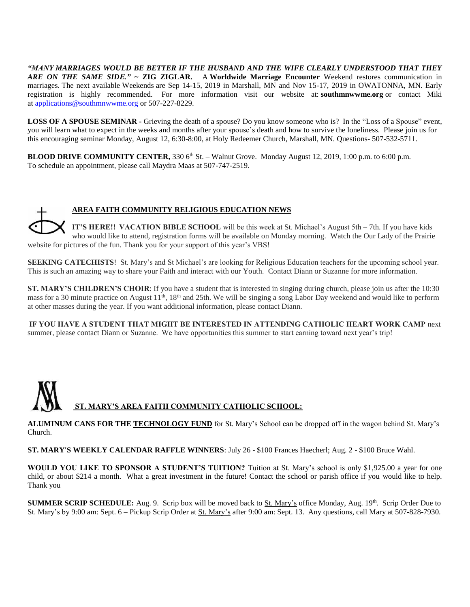*"MANY MARRIAGES WOULD BE BETTER IF THE HUSBAND AND THE WIFE CLEARLY UNDERSTOOD THAT THEY ARE ON THE SAME SIDE."* **~ ZIG ZIGLAR.** A **Worldwide Marriage Encounter** Weekend restores communication in marriages. The next available Weekends are Sep 14-15, 2019 in Marshall, MN and Nov 15-17, 2019 in OWATONNA, MN. Early registration is highly recommended. For more information visit our website at: **southmnwwme.org** or contact Miki at [applications@southmnwwme.org](mailto:wmandbethnickles@hotmail.com) or 507-227-8229.

**LOSS OF A SPOUSE SEMINAR -** Grieving the death of a spouse? Do you know someone who is? In the "Loss of a Spouse" event, you will learn what to expect in the weeks and months after your spouse's death and how to survive the loneliness. Please join us for this encouraging seminar Monday, August 12, 6:30-8:00, at Holy Redeemer Church, Marshall, MN. Questions- 507-532-5711.

**BLOOD DRIVE COMMUNITY CENTER,**  $3306<sup>th</sup>$  St. – Walnut Grove. Monday August 12,  $2019$ , 1:00 p.m. to 6:00 p.m. To schedule an appointment, please call Maydra Maas at 507-747-2519.

## **AREA FAITH COMMUNITY RELIGIOUS EDUCATION NEWS**

**IT'S HERE!!  VACATION BIBLE SCHOOL** will be this week at St. Michael's August 5th – 7th. If you have kids who would like to attend, registration forms will be available on Monday morning. Watch the Our Lady of the Prairie website for pictures of the fun. Thank you for your support of this year's VBS!

**SEEKING CATECHISTS!** St. Mary's and St Michael's are looking for Religious Education teachers for the upcoming school year. This is such an amazing way to share your Faith and interact with our Youth. Contact Diann or Suzanne for more information.

**ST. MARY'S CHILDREN'S CHOIR**: If you have a student that is interested in singing during church, please join us after the 10:30 mass for a 30 minute practice on August  $11<sup>th</sup>$ ,  $18<sup>th</sup>$  and 25th. We will be singing a song Labor Day weekend and would like to perform at other masses during the year. If you want additional information, please contact Diann.

**IF YOU HAVE A STUDENT THAT MIGHT BE INTERESTED IN ATTENDING CATHOLIC HEART WORK CAMP** next summer, please contact Diann or Suzanne. We have opportunities this summer to start earning toward next year's trip!



**ALUMINUM CANS FOR THE TECHNOLOGY FUND** for St. Mary's School can be dropped off in the wagon behind St. Mary's Church.

**ST. MARY'S WEEKLY CALENDAR RAFFLE WINNERS**: July 26 - \$100 Frances Haecherl; Aug. 2 - \$100 Bruce Wahl.

**WOULD YOU LIKE TO SPONSOR A STUDENT'S TUITION?** Tuition at St. Mary's school is only \$1,925.00 a year for one child, or about \$214 a month. What a great investment in the future! Contact the school or parish office if you would like to help. Thank you

**SUMMER SCRIP SCHEDULE:** Aug. 9. Scrip box will be moved back to St. Mary's office Monday, Aug. 19<sup>th</sup>. Scrip Order Due to St. Mary's by 9:00 am: Sept. 6 – Pickup Scrip Order at St. Mary's after 9:00 am: Sept. 13. Any questions, call Mary at 507-828-7930.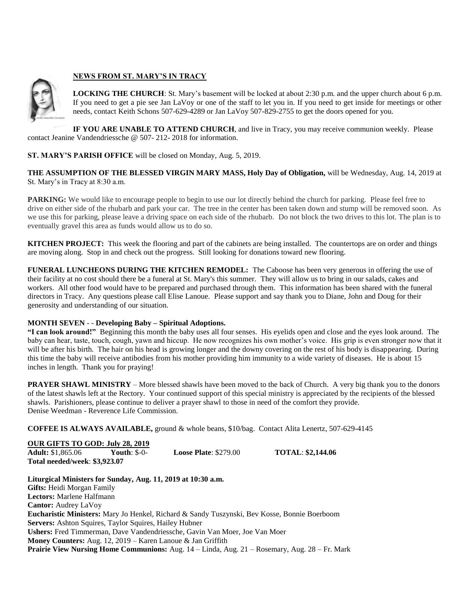

## **NEWS FROM ST. MARY'S IN TRACY**

**LOCKING THE CHURCH**: St. Mary's basement will be locked at about 2:30 p.m. and the upper church about 6 p.m. If you need to get a pie see Jan LaVoy or one of the staff to let you in. If you need to get inside for meetings or other needs, contact Keith Schons 507-629-4289 or Jan LaVoy 507-829-2755 to get the doors opened for you.

**IF YOU ARE UNABLE TO ATTEND CHURCH**, and live in Tracy, you may receive communion weekly. Please contact Jeanine Vandendriessche @ 507- 212- 2018 for information.

### **ST. MARY'S PARISH OFFICE** will be closed on Monday, Aug. 5, 2019.

**THE ASSUMPTION OF THE BLESSED VIRGIN MARY MASS, Holy Day of Obligation,** will be Wednesday, Aug. 14, 2019 at St. Mary's in Tracy at 8:30 a.m.

**PARKING:** We would like to encourage people to begin to use our lot directly behind the church for parking. Please feel free to drive on either side of the rhubarb and park your car. The tree in the center has been taken down and stump will be removed soon. As we use this for parking, please leave a driving space on each side of the rhubarb. Do not block the two drives to this lot. The plan is to eventually gravel this area as funds would allow us to do so.

**KITCHEN PROJECT:** This week the flooring and part of the cabinets are being installed. The countertops are on order and things are moving along. Stop in and check out the progress. Still looking for donations toward new flooring.

**FUNERAL LUNCHEONS DURING THE KITCHEN REMODEL:** The Caboose has been very generous in offering the use of their facility at no cost should there be a funeral at St. Mary's this summer. They will allow us to bring in our salads, cakes and workers. All other food would have to be prepared and purchased through them. This information has been shared with the funeral directors in Tracy. Any questions please call Elise Lanoue. Please support and say thank you to Diane, John and Doug for their generosity and understanding of our situation.

### **MONTH SEVEN** - - **Developing Baby – Spiritual Adoptions.**

**"I can look around!"** Beginning this month the baby uses all four senses. His eyelids open and close and the eyes look around. The baby can hear, taste, touch, cough, yawn and hiccup. He now recognizes his own mother's voice. His grip is even stronger now that it will be after his birth. The hair on his head is growing longer and the downy covering on the rest of his body is disappearing. During this time the baby will receive antibodies from his mother providing him immunity to a wide variety of diseases. He is about 15 inches in length. Thank you for praying!

**PRAYER SHAWL MINISTRY** – More blessed shawls have been moved to the back of Church. A very big thank you to the donors of the latest shawls left at the Rectory. Your continued support of this special ministry is appreciated by the recipients of the blessed shawls. Parishioners, please continue to deliver a prayer shawl to those in need of the comfort they provide. Denise Weedman - Reverence Life Commission.

**COFFEE IS ALWAYS AVAILABLE,** ground & whole beans, \$10/bag. Contact Alita Lenertz, 507-629-4145

| <b>OUR GIFTS TO GOD: July 28, 2019</b> |                     |                               |                          |  |
|----------------------------------------|---------------------|-------------------------------|--------------------------|--|
| <b>Adult:</b> \$1,865.06               | <b>Youth: \$-0-</b> | <b>Loose Plate:</b> $$279.00$ | <b>TOTAL: \$2,144.06</b> |  |
| Total needed/week: \$3,923.07          |                     |                               |                          |  |

**Liturgical Ministers for Sunday, Aug. 11, 2019 at 10:30 a.m. Gifts:** Heidi Morgan Family **Lectors:** Marlene Halfmann **Cantor:** Audrey LaVoy **Eucharistic Ministers:** Mary Jo Henkel, Richard & Sandy Tuszynski, Bev Kosse, Bonnie Boerboom **Servers:** Ashton Squires, Taylor Squires, Hailey Hubner **Ushers:** Fred Timmerman, Dave Vandendriessche, Gavin Van Moer, Joe Van Moer **Money Counters:** Aug. 12, 2019 – Karen Lanoue & Jan Griffith **Prairie View Nursing Home Communions:** Aug. 14 – Linda, Aug. 21 – Rosemary, Aug. 28 – Fr. Mark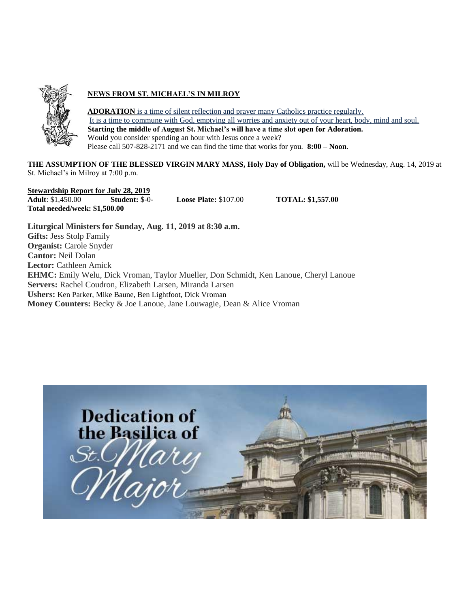

## **NEWS FROM ST. MICHAEL'S IN MILROY**

**ADORATION** is a time of silent reflection and prayer many Catholics practice regularly. It is a time to commune with God, emptying all worries and anxiety out of your heart, body, mind and soul. **Starting the middle of August St. Michael's will have a time slot open for Adoration.** Would you consider spending an hour with Jesus once a week? Please call 507-828-2171 and we can find the time that works for you. **8:00 – Noon**.

**THE ASSUMPTION OF THE BLESSED VIRGIN MARY MASS, Holy Day of Obligation,** will be Wednesday, Aug. 14, 2019 at St. Michael's in Milroy at 7:00 p.m.

**Stewardship Report for July 28, 2019 Adult**: \$1,450.00 **Student:** \$-0- **Loose Plate:** \$107.00 **TOTAL: \$1,557.00 Total needed/week: \$1,500.00**

**Liturgical Ministers for Sunday, Aug. 11, 2019 at 8:30 a.m. Gifts:** Jess Stolp Family **Organist:** Carole Snyder **Cantor:** Neil Dolan **Lector:** Cathleen Amick **EHMC:** Emily Welu, Dick Vroman, Taylor Mueller, Don Schmidt, Ken Lanoue, Cheryl Lanoue **Servers:** Rachel Coudron, Elizabeth Larsen, Miranda Larsen **Ushers:** Ken Parker, Mike Baune, Ben Lightfoot, Dick Vroman **Money Counters:** Becky & Joe Lanoue, Jane Louwagie, Dean & Alice Vroman